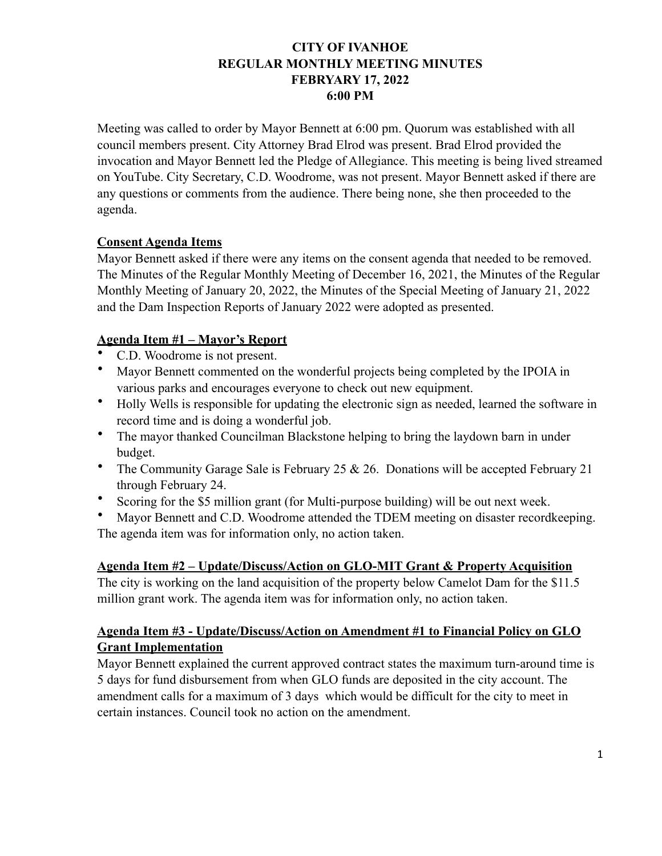## **CITY OF IVANHOE REGULAR MONTHLY MEETING MINUTES FEBRYARY 17, 2022 6:00 PM**

Meeting was called to order by Mayor Bennett at 6:00 pm. Quorum was established with all council members present. City Attorney Brad Elrod was present. Brad Elrod provided the invocation and Mayor Bennett led the Pledge of Allegiance. This meeting is being lived streamed on YouTube. City Secretary, C.D. Woodrome, was not present. Mayor Bennett asked if there are any questions or comments from the audience. There being none, she then proceeded to the agenda.

## **Consent Agenda Items**

Mayor Bennett asked if there were any items on the consent agenda that needed to be removed. The Minutes of the Regular Monthly Meeting of December 16, 2021, the Minutes of the Regular Monthly Meeting of January 20, 2022, the Minutes of the Special Meeting of January 21, 2022 and the Dam Inspection Reports of January 2022 were adopted as presented.

## **Agenda Item #1 – Mayor's Report**

- C.D. Woodrome is not present.
- Mayor Bennett commented on the wonderful projects being completed by the IPOIA in various parks and encourages everyone to check out new equipment.
- Holly Wells is responsible for updating the electronic sign as needed, learned the software in record time and is doing a wonderful job.
- The mayor thanked Councilman Blackstone helping to bring the laydown barn in under budget.
- The Community Garage Sale is February 25  $& 26$ . Donations will be accepted February 21 through February 24.
- Scoring for the \$5 million grant (for Multi-purpose building) will be out next week.
- Mayor Bennett and C.D. Woodrome attended the TDEM meeting on disaster recordkeeping. The agenda item was for information only, no action taken.

## **Agenda Item #2 – Update/Discuss/Action on GLO-MIT Grant & Property Acquisition**

The city is working on the land acquisition of the property below Camelot Dam for the \$11.5 million grant work. The agenda item was for information only, no action taken.

## **Agenda Item #3 - Update/Discuss/Action on Amendment #1 to Financial Policy on GLO Grant Implementation**

Mayor Bennett explained the current approved contract states the maximum turn-around time is 5 days for fund disbursement from when GLO funds are deposited in the city account. The amendment calls for a maximum of 3 days which would be difficult for the city to meet in certain instances. Council took no action on the amendment.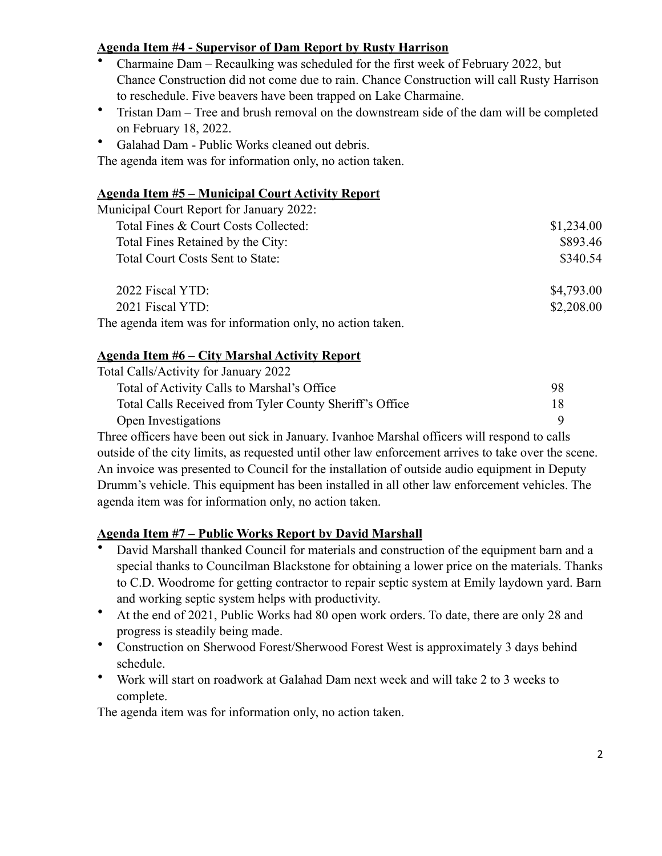# **Agenda Item #4 - Supervisor of Dam Report by Rusty Harrison**

- Charmaine Dam Recaulking was scheduled for the first week of February 2022, but Chance Construction did not come due to rain. Chance Construction will call Rusty Harrison to reschedule. Five beavers have been trapped on Lake Charmaine.
- Tristan Dam Tree and brush removal on the downstream side of the dam will be completed on February 18, 2022.
- Galahad Dam Public Works cleaned out debris.

The agenda item was for information only, no action taken.

## **Agenda Item #5 – Municipal Court Activity Report**

| Municipal Court Report for January 2022: |            |
|------------------------------------------|------------|
| Total Fines & Court Costs Collected:     | \$1,234.00 |
| Total Fines Retained by the City:        | \$893.46   |
| Total Court Costs Sent to State:         | \$340.54   |
| 2022 Fiscal YTD:                         | \$4,793.00 |
| 2021 Fiscal YTD:                         | \$2,208.00 |

The agenda item was for information only, no action taken.

# **Agenda Item #6 – City Marshal Activity Report**

| Total Calls/Activity for January 2022                   |    |
|---------------------------------------------------------|----|
| Total of Activity Calls to Marshal's Office             | 98 |
| Total Calls Received from Tyler County Sheriff's Office | 18 |
| Open Investigations                                     |    |

Three officers have been out sick in January. Ivanhoe Marshal officers will respond to calls outside of the city limits, as requested until other law enforcement arrives to take over the scene. An invoice was presented to Council for the installation of outside audio equipment in Deputy Drumm's vehicle. This equipment has been installed in all other law enforcement vehicles. The agenda item was for information only, no action taken.

## **Agenda Item #7 – Public Works Report by David Marshall**

- David Marshall thanked Council for materials and construction of the equipment barn and a special thanks to Councilman Blackstone for obtaining a lower price on the materials. Thanks to C.D. Woodrome for getting contractor to repair septic system at Emily laydown yard. Barn and working septic system helps with productivity.
- At the end of 2021, Public Works had 80 open work orders. To date, there are only 28 and progress is steadily being made.
- Construction on Sherwood Forest/Sherwood Forest West is approximately 3 days behind schedule.
- Work will start on roadwork at Galahad Dam next week and will take 2 to 3 weeks to complete.

The agenda item was for information only, no action taken.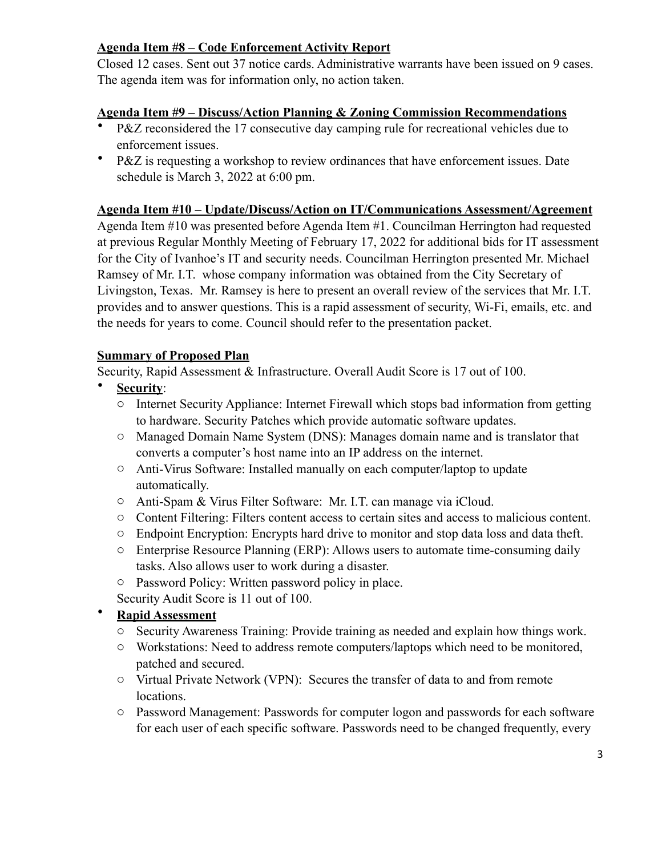# **Agenda Item #8 – Code Enforcement Activity Report**

Closed 12 cases. Sent out 37 notice cards. Administrative warrants have been issued on 9 cases. The agenda item was for information only, no action taken.

## **Agenda Item #9 – Discuss/Action Planning & Zoning Commission Recommendations**

- P&Z reconsidered the 17 consecutive day camping rule for recreational vehicles due to enforcement issues.
- P&Z is requesting a workshop to review ordinances that have enforcement issues. Date schedule is March 3, 2022 at 6:00 pm.

### **Agenda Item #10 – Update/Discuss/Action on IT/Communications Assessment/Agreement**

Agenda Item #10 was presented before Agenda Item #1. Councilman Herrington had requested at previous Regular Monthly Meeting of February 17, 2022 for additional bids for IT assessment for the City of Ivanhoe's IT and security needs. Councilman Herrington presented Mr. Michael Ramsey of Mr. I.T. whose company information was obtained from the City Secretary of Livingston, Texas. Mr. Ramsey is here to present an overall review of the services that Mr. I.T. provides and to answer questions. This is a rapid assessment of security, Wi-Fi, emails, etc. and the needs for years to come. Council should refer to the presentation packet.

### **Summary of Proposed Plan**

Security, Rapid Assessment & Infrastructure. Overall Audit Score is 17 out of 100.

- **Security**:
- o Internet Security Appliance: Internet Firewall which stops bad information from getting to hardware. Security Patches which provide automatic software updates.
- o Managed Domain Name System (DNS): Manages domain name and is translator that converts a computer's host name into an IP address on the internet.
- o Anti-Virus Software: Installed manually on each computer/laptop to update automatically.
- o Anti-Spam & Virus Filter Software: Mr. I.T. can manage via iCloud.
- o Content Filtering: Filters content access to certain sites and access to malicious content.
- o Endpoint Encryption: Encrypts hard drive to monitor and stop data loss and data theft.
- o Enterprise Resource Planning (ERP): Allows users to automate time-consuming daily tasks. Also allows user to work during a disaster.
- o Password Policy: Written password policy in place.

Security Audit Score is 11 out of 100.

## • **Rapid Assessment**

- o Security Awareness Training: Provide training as needed and explain how things work.
- o Workstations: Need to address remote computers/laptops which need to be monitored, patched and secured.
- o Virtual Private Network (VPN): Secures the transfer of data to and from remote locations.
- o Password Management: Passwords for computer logon and passwords for each software for each user of each specific software. Passwords need to be changed frequently, every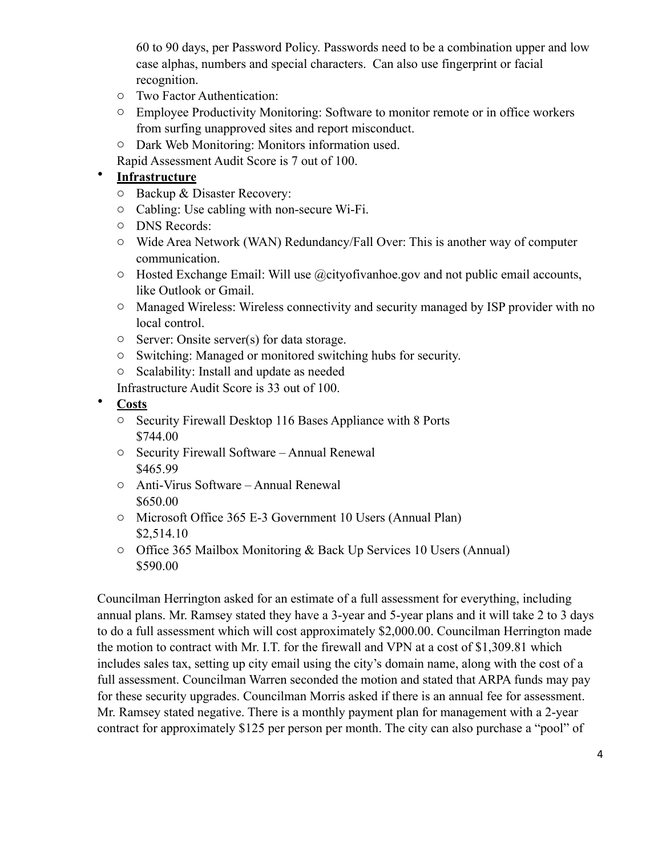60 to 90 days, per Password Policy. Passwords need to be a combination upper and low case alphas, numbers and special characters. Can also use fingerprint or facial recognition.

- o Two Factor Authentication:
- o Employee Productivity Monitoring: Software to monitor remote or in office workers from surfing unapproved sites and report misconduct.
- o Dark Web Monitoring: Monitors information used.
- Rapid Assessment Audit Score is 7 out of 100.

## • **Infrastructure**

- o Backup & Disaster Recovery:
- o Cabling: Use cabling with non-secure Wi-Fi.
- o DNS Records:
- o Wide Area Network (WAN) Redundancy/Fall Over: This is another way of computer communication.
- $\circ$  Hosted Exchange Email: Will use @cityofivanhoe.gov and not public email accounts, like Outlook or Gmail.
- o Managed Wireless: Wireless connectivity and security managed by ISP provider with no local control.
- o Server: Onsite server(s) for data storage.
- o Switching: Managed or monitored switching hubs for security.
- o Scalability: Install and update as needed

Infrastructure Audit Score is 33 out of 100.

- **Costs**
	- o Security Firewall Desktop 116 Bases Appliance with 8 Ports \$744.00
	- o Security Firewall Software Annual Renewal \$465.99
	- o Anti-Virus Software Annual Renewal \$650.00
	- o Microsoft Office 365 E-3 Government 10 Users (Annual Plan) \$2,514.10
	- o Office 365 Mailbox Monitoring & Back Up Services 10 Users (Annual) \$590.00

Councilman Herrington asked for an estimate of a full assessment for everything, including annual plans. Mr. Ramsey stated they have a 3-year and 5-year plans and it will take 2 to 3 days to do a full assessment which will cost approximately \$2,000.00. Councilman Herrington made the motion to contract with Mr. I.T. for the firewall and VPN at a cost of \$1,309.81 which includes sales tax, setting up city email using the city's domain name, along with the cost of a full assessment. Councilman Warren seconded the motion and stated that ARPA funds may pay for these security upgrades. Councilman Morris asked if there is an annual fee for assessment. Mr. Ramsey stated negative. There is a monthly payment plan for management with a 2-year contract for approximately \$125 per person per month. The city can also purchase a "pool" of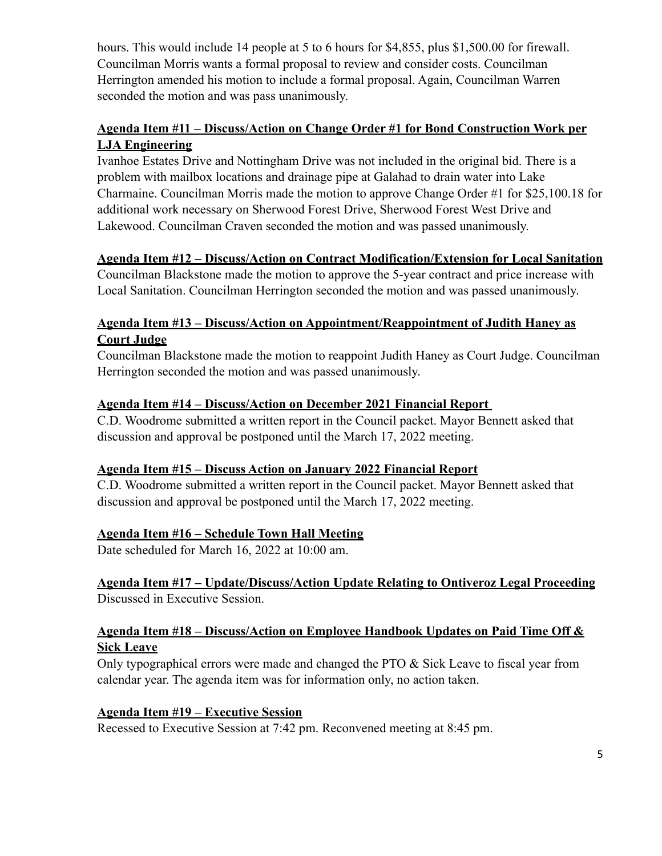hours. This would include 14 people at 5 to 6 hours for \$4,855, plus \$1,500.00 for firewall. Councilman Morris wants a formal proposal to review and consider costs. Councilman Herrington amended his motion to include a formal proposal. Again, Councilman Warren seconded the motion and was pass unanimously.

# **Agenda Item #11 – Discuss/Action on Change Order #1 for Bond Construction Work per LJA Engineering**

Ivanhoe Estates Drive and Nottingham Drive was not included in the original bid. There is a problem with mailbox locations and drainage pipe at Galahad to drain water into Lake Charmaine. Councilman Morris made the motion to approve Change Order #1 for \$25,100.18 for additional work necessary on Sherwood Forest Drive, Sherwood Forest West Drive and Lakewood. Councilman Craven seconded the motion and was passed unanimously.

## **Agenda Item #12 – Discuss/Action on Contract Modification/Extension for Local Sanitation**

Councilman Blackstone made the motion to approve the 5-year contract and price increase with Local Sanitation. Councilman Herrington seconded the motion and was passed unanimously.

# **Agenda Item #13 – Discuss/Action on Appointment/Reappointment of Judith Haney as Court Judge**

Councilman Blackstone made the motion to reappoint Judith Haney as Court Judge. Councilman Herrington seconded the motion and was passed unanimously.

## **Agenda Item #14 – Discuss/Action on December 2021 Financial Report**

C.D. Woodrome submitted a written report in the Council packet. Mayor Bennett asked that discussion and approval be postponed until the March 17, 2022 meeting.

## **Agenda Item #15 – Discuss Action on January 2022 Financial Report**

C.D. Woodrome submitted a written report in the Council packet. Mayor Bennett asked that discussion and approval be postponed until the March 17, 2022 meeting.

## **Agenda Item #16 – Schedule Town Hall Meeting**

Date scheduled for March 16, 2022 at 10:00 am.

## **Agenda Item #17 – Update/Discuss/Action Update Relating to Ontiveroz Legal Proceeding** Discussed in Executive Session.

## **Agenda Item #18 – Discuss/Action on Employee Handbook Updates on Paid Time Off & Sick Leave**

Only typographical errors were made and changed the PTO & Sick Leave to fiscal year from calendar year. The agenda item was for information only, no action taken.

## **Agenda Item #19 – Executive Session**

Recessed to Executive Session at 7:42 pm. Reconvened meeting at 8:45 pm.